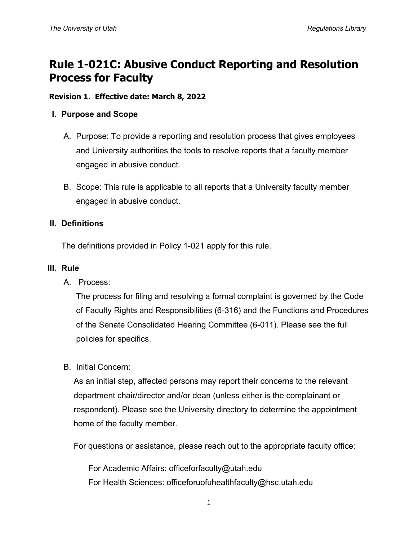# **Rule 1-021C: Abusive Conduct Reporting and Resolution Process for Faculty**

## **Revision 1. Effective date: March 8, 2022**

## **I. Purpose and Scope**

- A. Purpose: To provide a reporting and resolution process that gives employees and University authorities the tools to resolve reports that a faculty member engaged in abusive conduct.
- B. Scope: This rule is applicable to all reports that a University faculty member engaged in abusive conduct.

## **II. Definitions**

The definitions provided in Policy 1-021 apply for this rule.

#### **III. Rule**

A. Process:

The process for filing and resolving a formal complaint is governed by the Code of Faculty Rights and Responsibilities (6-316) and the Functions and Procedures of the Senate Consolidated Hearing Committee (6-011). Please see the full policies for specifics.

#### B. Initial Concern:

As an initial step, affected persons may report their concerns to the relevant department chair/director and/or dean (unless either is the complainant or respondent). Please see the University directory to determine the appointment home of the faculty member.

For questions or assistance, please reach out to the appropriate faculty office:

For Academic Affairs: officeforfaculty@utah.edu For Health Sciences: officeforuofuhealthfaculty@hsc.utah.edu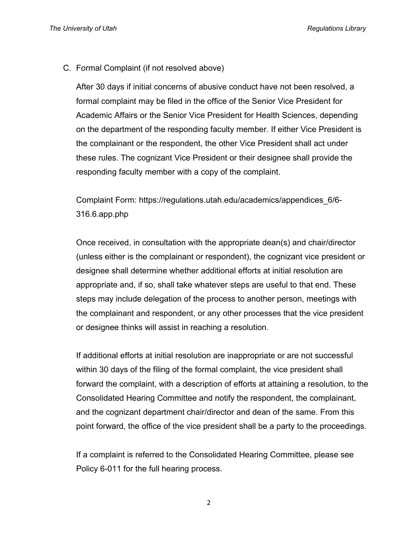C. Formal Complaint (if not resolved above)

After 30 days if initial concerns of abusive conduct have not been resolved, a formal complaint may be filed in the office of the Senior Vice President for Academic Affairs or the Senior Vice President for Health Sciences, depending on the department of the responding faculty member. If either Vice President is the complainant or the respondent, the other Vice President shall act under these rules. The cognizant Vice President or their designee shall provide the responding faculty member with a copy of the complaint.

Complaint Form: https://regulations.utah.edu/academics/appendices\_6/6- 316.6.app.php

Once received, in consultation with the appropriate dean(s) and chair/director (unless either is the complainant or respondent), the cognizant vice president or designee shall determine whether additional efforts at initial resolution are appropriate and, if so, shall take whatever steps are useful to that end. These steps may include delegation of the process to another person, meetings with the complainant and respondent, or any other processes that the vice president or designee thinks will assist in reaching a resolution.

If additional efforts at initial resolution are inappropriate or are not successful within 30 days of the filing of the formal complaint, the vice president shall forward the complaint, with a description of efforts at attaining a resolution, to the Consolidated Hearing Committee and notify the respondent, the complainant, and the cognizant department chair/director and dean of the same. From this point forward, the office of the vice president shall be a party to the proceedings.

If a complaint is referred to the Consolidated Hearing Committee, please see Policy 6-011 for the full hearing process.

2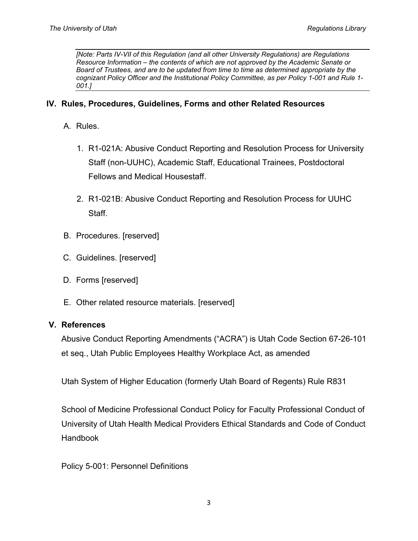*[Note: Parts IV-VII of this Regulation (and all other University Regulations) are Regulations Resource Information – the contents of which are not approved by the Academic Senate or Board of Trustees, and are to be updated from time to time as determined appropriate by the cognizant Policy Officer and the Institutional Policy Committee, as per Policy 1-001 and Rule 1- 001.]*

# **IV. Rules, Procedures, Guidelines, Forms and other Related Resources**

## A. Rules.

- 1. R1-021A: Abusive Conduct Reporting and Resolution Process for University Staff (non-UUHC), Academic Staff, Educational Trainees, Postdoctoral Fellows and Medical Housestaff.
- 2. R1-021B: Abusive Conduct Reporting and Resolution Process for UUHC Staff.
- B. Procedures. [reserved]
- C. Guidelines. [reserved]
- D. Forms [reserved]
- E. Other related resource materials. [reserved]

#### **V. References**

Abusive Conduct Reporting Amendments ("ACRA") is Utah Code Section 67-26-101 et seq., Utah Public Employees Healthy Workplace Act, as amended

Utah System of Higher Education (formerly Utah Board of Regents) Rule R831

School of Medicine Professional Conduct Policy for Faculty Professional Conduct of University of Utah Health Medical Providers Ethical Standards and Code of Conduct Handbook

Policy 5-001: Personnel Definitions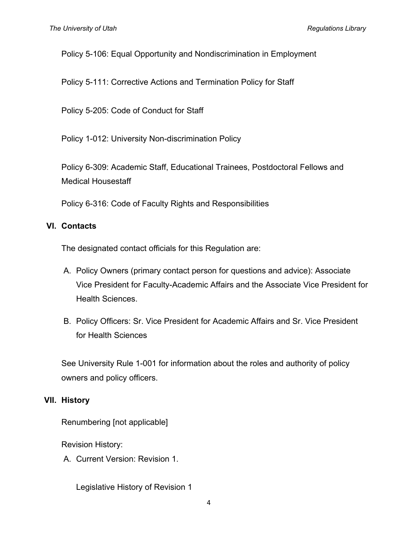Policy 5-106: Equal Opportunity and Nondiscrimination in Employment

Policy 5-111: Corrective Actions and Termination Policy for Staff

Policy 5-205: Code of Conduct for Staff

Policy 1-012: University Non-discrimination Policy

Policy 6-309: Academic Staff, Educational Trainees, Postdoctoral Fellows and Medical Housestaff

Policy 6-316: Code of Faculty Rights and Responsibilities

# **VI. Contacts**

The designated contact officials for this Regulation are:

- A. Policy Owners (primary contact person for questions and advice): Associate Vice President for Faculty-Academic Affairs and the Associate Vice President for Health Sciences.
- B. Policy Officers: Sr. Vice President for Academic Affairs and Sr. Vice President for Health Sciences

See University Rule 1-001 for information about the roles and authority of policy owners and policy officers.

# **VII. History**

Renumbering [not applicable]

Revision History:

A. Current Version: Revision 1.

Legislative History of Revision 1